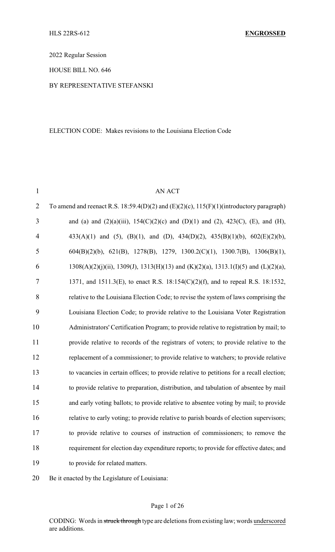2022 Regular Session

HOUSE BILL NO. 646

### BY REPRESENTATIVE STEFANSKI

#### ELECTION CODE: Makes revisions to the Louisiana Election Code

| $\mathbf{1}$   | <b>AN ACT</b>                                                                                      |
|----------------|----------------------------------------------------------------------------------------------------|
| $\overline{2}$ | To amend and reenact R.S. 18:59.4(D)(2) and (E)(2)(c), 115(F)(1)(introductory paragraph)           |
| 3              | and (a) and (2)(a)(iii), $154(C)(2)(c)$ and (D)(1) and (2), 423(C), (E), and (H),                  |
| $\overline{4}$ | 433(A)(1) and (5), (B)(1), and (D), 434(D)(2), 435(B)(1)(b), $602(E)(2)(b)$ ,                      |
| 5              | $604(B)(2)(b)$ , 621(B), 1278(B), 1279, 1300.2(C)(1), 1300.7(B), 1306(B)(1),                       |
| 6              | $1308(A)(2)(j)(ii)$ , $1309(J)$ , $1313(H)(13)$ and $(K)(2)(a)$ , $1313.1(I)(5)$ and $(L)(2)(a)$ , |
| $\tau$         | 1371, and 1511.3(E), to enact R.S. 18:154(C)(2)(f), and to repeal R.S. 18:1532,                    |
| 8              | relative to the Louisiana Election Code; to revise the system of laws comprising the               |
| 9              | Louisiana Election Code; to provide relative to the Louisiana Voter Registration                   |
| 10             | Administrators' Certification Program; to provide relative to registration by mail; to             |
| 11             | provide relative to records of the registrars of voters; to provide relative to the                |
| 12             | replacement of a commissioner; to provide relative to watchers; to provide relative                |
| 13             | to vacancies in certain offices; to provide relative to petitions for a recall election;           |
| 14             | to provide relative to preparation, distribution, and tabulation of absentee by mail               |
| 15             | and early voting ballots; to provide relative to absentee voting by mail; to provide               |
| 16             | relative to early voting; to provide relative to parish boards of election supervisors;            |
| 17             | to provide relative to courses of instruction of commissioners; to remove the                      |
| 18             | requirement for election day expenditure reports; to provide for effective dates; and              |
| 19             | to provide for related matters.                                                                    |
|                |                                                                                                    |

20 Be it enacted by the Legislature of Louisiana: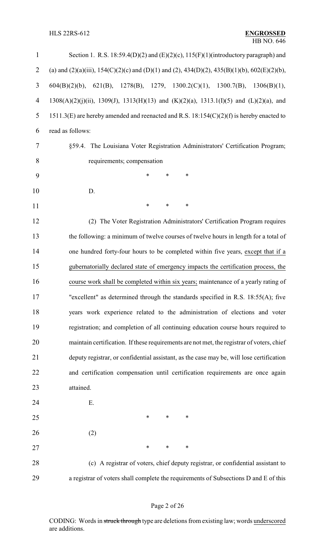| $\mathbf{1}$   | Section 1. R.S. $18:59.4(D)(2)$ and $(E)(2)(c)$ , $115(F)(1)$ (introductory paragraph) and   |
|----------------|----------------------------------------------------------------------------------------------|
| $\overline{2}$ | (a) and (2)(a)(iii), 154(C)(2)(c) and (D)(1) and (2), 434(D)(2), 435(B)(1)(b), 602(E)(2)(b), |
| 3              | 621(B), 1278(B), 1279, 1300.2(C)(1), 1300.7(B),<br>$604(B)(2)(b)$ ,<br>1306(B)(1),           |
| 4              | 1308(A)(2)(j)(ii), 1309(J), 1313(H)(13) and (K)(2)(a), 1313.1(I)(5) and (L)(2)(a), and       |
| 5              | 1511.3(E) are hereby amended and reenacted and R.S. 18:154(C)(2)(f) is hereby enacted to     |
| 6              | read as follows:                                                                             |
| 7              | §59.4. The Louisiana Voter Registration Administrators' Certification Program;               |
| 8              | requirements; compensation                                                                   |
| 9              | $\ast$<br>$\ast$<br>$\ast$                                                                   |
| 10             | D.                                                                                           |
| 11             | $\ast$<br>*<br>$\ast$                                                                        |
| 12             | (2) The Voter Registration Administrators' Certification Program requires                    |
| 13             | the following: a minimum of twelve courses of twelve hours in length for a total of          |
| 14             | one hundred forty-four hours to be completed within five years, except that if a             |
| 15             | gubernatorially declared state of emergency impacts the certification process, the           |
| 16             | course work shall be completed within six years; maintenance of a yearly rating of           |
| 17             | "excellent" as determined through the standards specified in R.S. $18:55(A)$ ; five          |
| 18             | years work experience related to the administration of elections and voter                   |
| 19             | registration; and completion of all continuing education course hours required to            |
| 20             | maintain certification. If these requirements are not met, the registrar of voters, chief    |
| 21             | deputy registrar, or confidential assistant, as the case may be, will lose certification     |
| 22             | and certification compensation until certification requirements are once again               |
| 23             | attained.                                                                                    |
| 24             | Ε.                                                                                           |
| 25             | ∗<br>∗<br>∗                                                                                  |
| 26             | (2)                                                                                          |
| 27             | ∗<br>∗<br>$\ast$                                                                             |
| 28             | (c) A registrar of voters, chief deputy registrar, or confidential assistant to              |
| 29             | a registrar of voters shall complete the requirements of Subsections D and E of this         |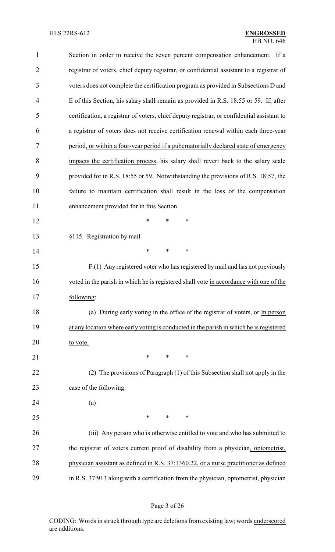| $\mathbf{1}$   | Section in order to receive the seven percent compensation enhancement. If a               |
|----------------|--------------------------------------------------------------------------------------------|
| $\overline{2}$ | registrar of voters, chief deputy registrar, or confidential assistant to a registrar of   |
| 3              | voters does not complete the certification program as provided in Subsections D and        |
| $\overline{4}$ | E of this Section, his salary shall remain as provided in R.S. 18:55 or 59. If, after      |
| 5              | certification, a registrar of voters, chief deputy registrar, or confidential assistant to |
| 6              | a registrar of voters does not receive certification renewal within each three-year        |
| 7              | period, or within a four-year period if a gubernatorially declared state of emergency      |
| 8              | impacts the certification process, his salary shall revert back to the salary scale        |
| 9              | provided for in R.S. 18:55 or 59. Notwithstanding the provisions of R.S. 18:57, the        |
| 10             | failure to maintain certification shall result in the loss of the compensation             |
| 11             | enhancement provided for in this Section.                                                  |
| 12             | *<br>*<br>*                                                                                |
| 13             | §115. Registration by mail                                                                 |
| 14             | *<br>∗<br>∗                                                                                |
| 15             | F.(1) Any registered voter who has registered by mail and has not previously               |
| 16             | voted in the parish in which he is registered shall vote in accordance with one of the     |
| 17             | following:                                                                                 |
| 18             | (a) During early voting in the office of the registrar of voters, or In person             |
| 19             | at any location where early voting is conducted in the parish in which he is registered    |
| 20             | to vote.                                                                                   |
| 21             | ∗<br>*<br>∗                                                                                |
| 22             | (2) The provisions of Paragraph (1) of this Subsection shall not apply in the              |
| 23             | case of the following:                                                                     |
| 24             | (a)                                                                                        |
| 25             | ∗<br>∗<br>∗                                                                                |
| 26             | (iii) Any person who is otherwise entitled to vote and who has submitted to                |
| 27             | the registrar of voters current proof of disability from a physician, optometrist,         |
| 28             | physician assistant as defined in R.S. 37:1360.22, or a nurse practitioner as defined      |
| 29             | in R.S. 37:913 along with a certification from the physician, optometrist, physician       |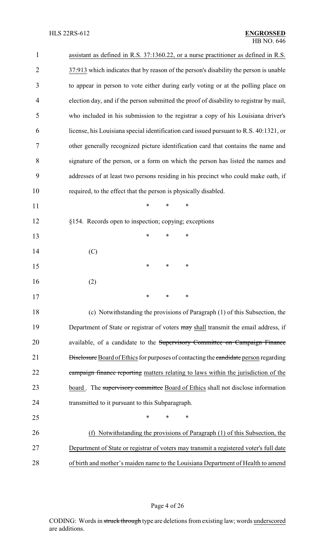| $\mathbf{1}$ | assistant as defined in R.S. 37:1360.22, or a nurse practitioner as defined in R.S.         |
|--------------|---------------------------------------------------------------------------------------------|
| 2            | 37:913 which indicates that by reason of the person's disability the person is unable       |
| 3            | to appear in person to vote either during early voting or at the polling place on           |
| 4            | election day, and if the person submitted the proof of disability to registrar by mail,     |
| 5            | who included in his submission to the registrar a copy of his Louisiana driver's            |
| 6            | license, his Louisiana special identification card issued pursuant to R.S. 40:1321, or      |
| 7            | other generally recognized picture identification card that contains the name and           |
| 8            | signature of the person, or a form on which the person has listed the names and             |
| 9            | addresses of at least two persons residing in his precinct who could make oath, if          |
| 10           | required, to the effect that the person is physically disabled.                             |
| 11           | $\ast$<br>$\ast$<br>$\ast$                                                                  |
| 12           | §154. Records open to inspection; copying; exceptions                                       |
| 13           | ∗<br>∗<br>∗                                                                                 |
| 14           | (C)                                                                                         |
| 15           | ∗<br>*<br>∗                                                                                 |
| 16           | (2)                                                                                         |
| 17           |                                                                                             |
| 18           | (c) Notwithstanding the provisions of Paragraph (1) of this Subsection, the                 |
| 19           | Department of State or registrar of voters may shall transmit the email address, if         |
| 20           | available, of a candidate to the Supervisory Committee on Campaign Finance                  |
| 21           | <b>Disclosure</b> Board of Ethics for purposes of contacting the candidate person regarding |
| 22           | campaign finance reporting matters relating to laws within the jurisdiction of the          |
| 23           | board. The supervisory committee Board of Ethics shall not disclose information             |
| 24           | transmitted to it pursuant to this Subparagraph.                                            |
| 25           | $\ast$<br>∗<br>*                                                                            |
| 26           | Notwithstanding the provisions of Paragraph (1) of this Subsection, the<br>(f)              |
| 27           | Department of State or registrar of voters may transmit a registered voter's full date      |
| 28           | of birth and mother's maiden name to the Louisiana Department of Health to amend            |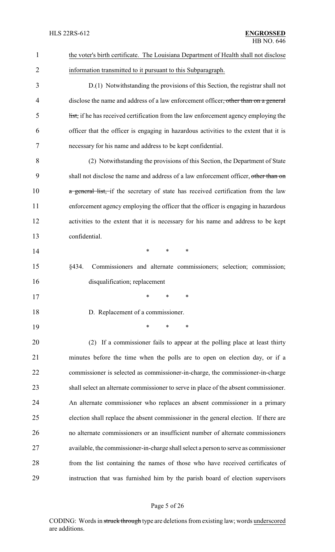| $\mathbf{1}$   | the voter's birth certificate. The Louisiana Department of Health shall not disclose  |
|----------------|---------------------------------------------------------------------------------------|
| $\overline{2}$ | information transmitted to it pursuant to this Subparagraph.                          |
| 3              | D.(1) Notwithstanding the provisions of this Section, the registrar shall not         |
| 4              | disclose the name and address of a law enforcement officer, other than on a general   |
| 5              | list, if he has received certification from the law enforcement agency employing the  |
| 6              | officer that the officer is engaging in hazardous activities to the extent that it is |
| 7              | necessary for his name and address to be kept confidential.                           |
| 8              | (2) Notwithstanding the provisions of this Section, the Department of State           |
| 9              | shall not disclose the name and address of a law enforcement officer, other than on   |
| 10             | a general list, if the secretary of state has received certification from the law     |
| 11             | enforcement agency employing the officer that the officer is engaging in hazardous    |
| 12             | activities to the extent that it is necessary for his name and address to be kept     |
| 13             | confidential.                                                                         |
| 14             | $\ast$<br>*<br>∗                                                                      |
| 15             | §434.<br>Commissioners and alternate commissioners; selection; commission;            |
| 16             | disqualification; replacement                                                         |
| 17             |                                                                                       |
| 18             | D. Replacement of a commissioner.                                                     |
| 19             | $\ast$<br>∗                                                                           |
| 20             | (2) If a commissioner fails to appear at the polling place at least thirty            |
| 21             | minutes before the time when the polls are to open on election day, or if a           |
| 22             | commissioner is selected as commissioner-in-charge, the commissioner-in-charge        |
| 23             | shall select an alternate commissioner to serve in place of the absent commissioner.  |
| 24             | An alternate commissioner who replaces an absent commissioner in a primary            |
| 25             | election shall replace the absent commissioner in the general election. If there are  |
| 26             | no alternate commissioners or an insufficient number of alternate commissioners       |
| 27             | available, the commissioner-in-charge shall select a person to serve as commissioner  |
| 28             | from the list containing the names of those who have received certificates of         |
| 29             | instruction that was furnished him by the parish board of election supervisors        |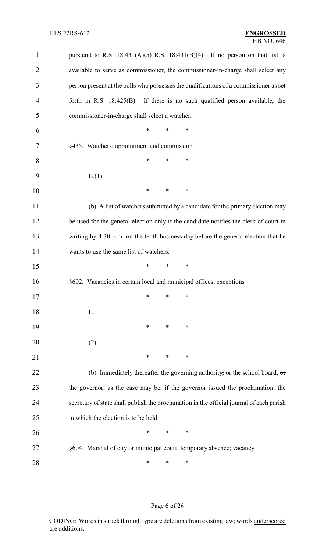| $\mathbf{1}$   | pursuant to R.S. $18:431(A)(5)$ R.S. $18:431(B)(4)$ . If no person on that list is       |
|----------------|------------------------------------------------------------------------------------------|
| $\overline{2}$ | available to serve as commissioner, the commissioner-in-charge shall select any          |
| 3              | person present at the polls who possesses the qualifications of a commissioner as set    |
| $\overline{4}$ | forth in R.S. $18:425(B)$ . If there is no such qualified person available, the          |
| 5              | commissioner-in-charge shall select a watcher.                                           |
| 6              | $\ast$<br>$\ast$<br>*                                                                    |
| 7              | §435. Watchers; appointment and commission                                               |
| 8              | ∗<br>*<br>∗                                                                              |
| 9              | B(1)                                                                                     |
| 10             | ∗<br>*<br>∗                                                                              |
| 11             | (b) A list of watchers submitted by a candidate for the primary election may             |
| 12             | be used for the general election only if the candidate notifies the clerk of court in    |
| 13             | writing by 4:30 p.m. on the tenth business day before the general election that he       |
| 14             | wants to use the same list of watchers.                                                  |
| 15             | *<br>*<br>$\ast$                                                                         |
| 16             | §602. Vacancies in certain local and municipal offices; exceptions                       |
| 17             | $\ast$<br>$*$ and $*$<br>∗                                                               |
| 18             | Ε.                                                                                       |
| 19             | $\ast$<br>∗<br>∗                                                                         |
| 20             | (2)                                                                                      |
| 21             | $\ast$<br>∗<br>$\ast$                                                                    |
| 22             | (b) Immediately thereafter the governing authority, or the school board, $\sigma$ r      |
| 23             | the governor, as the case may be, if the governor issued the proclamation, the           |
| 24             | secretary of state shall publish the proclamation in the official journal of each parish |
| 25             | in which the election is to be held.                                                     |
| 26             | $\ast$<br>∗<br>∗                                                                         |
| 27             | §604. Marshal of city or municipal court; temporary absence; vacancy                     |
| 28             | ∗<br>∗<br>∗                                                                              |

## Page 6 of 26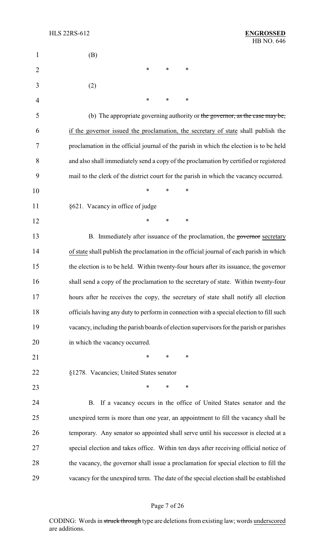| $\mathbf{1}$   | (B)                                                                                     |
|----------------|-----------------------------------------------------------------------------------------|
| $\overline{2}$ | ∗<br>$\ast$<br>∗                                                                        |
| 3              | (2)                                                                                     |
| 4              | *<br>*<br>∗                                                                             |
| 5              | (b) The appropriate governing authority or the governor, as the case may be,            |
| 6              | if the governor issued the proclamation, the secretary of state shall publish the       |
| 7              | proclamation in the official journal of the parish in which the election is to be held  |
| 8              | and also shall immediately send a copy of the proclamation by certified or registered   |
| 9              | mail to the clerk of the district court for the parish in which the vacancy occurred.   |
| 10             | $\ast$<br>∗<br>*                                                                        |
| 11             | §621. Vacancy in office of judge                                                        |
| 12             | $\ast$<br>*<br>∗                                                                        |
| 13             | B. Immediately after issuance of the proclamation, the governor secretary               |
| 14             | of state shall publish the proclamation in the official journal of each parish in which |
| 15             | the election is to be held. Within twenty-four hours after its issuance, the governor   |
| 16             | shall send a copy of the proclamation to the secretary of state. Within twenty-four     |
| 17             | hours after he receives the copy, the secretary of state shall notify all election      |
| 18             | officials having any duty to perform in connection with a special election to fill such |
| 19             | vacancy, including the parish boards of election supervisors for the parish or parishes |
| 20             | in which the vacancy occurred.                                                          |
| 21             | $\ast$<br>*<br>∗                                                                        |
| 22             | §1278. Vacancies; United States senator                                                 |
| 23             | $\ast$<br>*<br>∗                                                                        |
| 24             | B. If a vacancy occurs in the office of United States senator and the                   |
| 25             | unexpired term is more than one year, an appointment to fill the vacancy shall be       |
| 26             | temporary. Any senator so appointed shall serve until his successor is elected at a     |
| 27             | special election and takes office. Within ten days after receiving official notice of   |
| 28             | the vacancy, the governor shall issue a proclamation for special election to fill the   |
| 29             | vacancy for the unexpired term. The date of the special election shall be established   |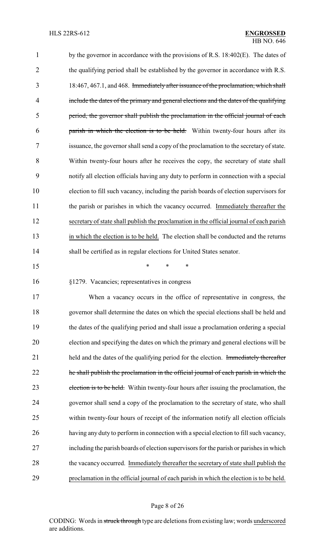1 by the governor in accordance with the provisions of R.S. 18:402(E). The dates of the qualifying period shall be established by the governor in accordance with R.S. 18:467, 467.1, and 468. Immediately after issuance of the proclamation, which shall 4 include the dates of the primary and general elections and the dates of the qualifying period, the governor shall publish the proclamation in the official journal of each parish in which the election is to be held. Within twenty-four hours after its issuance, the governor shall send a copy of the proclamation to the secretary of state. Within twenty-four hours after he receives the copy, the secretary of state shall notify all election officials having any duty to perform in connection with a special election to fill such vacancy, including the parish boards of election supervisors for the parish or parishes in which the vacancy occurred. Immediately thereafter the secretary of state shall publish the proclamation in the official journal of each parish in which the election is to be held. The election shall be conducted and the returns shall be certified as in regular elections for United States senator. \* \* \*

§1279. Vacancies; representatives in congress

 When a vacancy occurs in the office of representative in congress, the governor shall determine the dates on which the special elections shall be held and the dates of the qualifying period and shall issue a proclamation ordering a special election and specifying the dates on which the primary and general elections will be 21 held and the dates of the qualifying period for the election. Immediately thereafter 22 he shall publish the proclamation in the official journal of each parish in which the 23 election is to be held. Within twenty-four hours after issuing the proclamation, the governor shall send a copy of the proclamation to the secretary of state, who shall within twenty-four hours of receipt of the information notify all election officials having any duty to perform in connection with a special election to fill such vacancy, including the parish boards of election supervisors for the parish or parishes in which 28 the vacancy occurred. Immediately thereafter the secretary of state shall publish the proclamation in the official journal of each parish in which the election is to be held.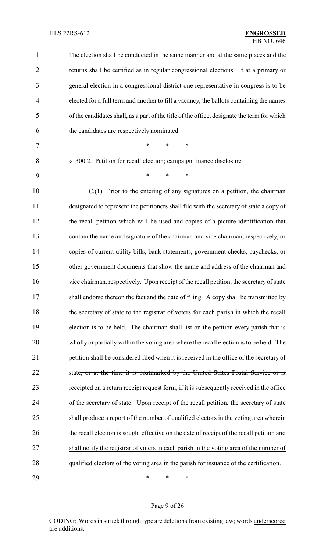| 1              | The election shall be conducted in the same manner and at the same places and the           |
|----------------|---------------------------------------------------------------------------------------------|
| $\overline{2}$ | returns shall be certified as in regular congressional elections. If at a primary or        |
| 3              | general election in a congressional district one representative in congress is to be        |
| $\overline{4}$ | elected for a full term and another to fill a vacancy, the ballots containing the names     |
| 5              | of the candidates shall, as a part of the title of the office, designate the term for which |
| 6              | the candidates are respectively nominated.                                                  |
| 7              | $\ast$<br>$\ast$<br>*                                                                       |
| 8              | §1300.2. Petition for recall election; campaign finance disclosure                          |
| 9              | $\ast$<br>$\ast$<br>$\ast$                                                                  |
| 10             | $C(1)$ Prior to the entering of any signatures on a petition, the chairman                  |
| 11             | designated to represent the petitioners shall file with the secretary of state a copy of    |
| 12             | the recall petition which will be used and copies of a picture identification that          |
| 13             | contain the name and signature of the chairman and vice chairman, respectively, or          |
| 14             | copies of current utility bills, bank statements, government checks, paychecks, or          |
| 15             | other government documents that show the name and address of the chairman and               |
| 16             | vice chairman, respectively. Upon receipt of the recall petition, the secretary of state    |
| 17             | shall endorse thereon the fact and the date of filing. A copy shall be transmitted by       |
| 18             | the secretary of state to the registrar of voters for each parish in which the recall       |
| 19             | election is to be held. The chairman shall list on the petition every parish that is        |
| 20             | wholly or partially within the voting area where the recall election is to be held. The     |
| 21             | petition shall be considered filed when it is received in the office of the secretary of    |
| 22             | state, or at the time it is postmarked by the United States Postal Service or is            |
| 23             | receipted on a return receipt request form, if it is subsequently received in the office    |
| 24             | of the secretary of state. Upon receipt of the recall petition, the secretary of state      |
| 25             | shall produce a report of the number of qualified electors in the voting area wherein       |
| 26             | the recall election is sought effective on the date of receipt of the recall petition and   |
| 27             | shall notify the registrar of voters in each parish in the voting area of the number of     |
| 28             | qualified electors of the voting area in the parish for issuance of the certification.      |
| 29             | ∗<br>∗<br>∗                                                                                 |

Page 9 of 26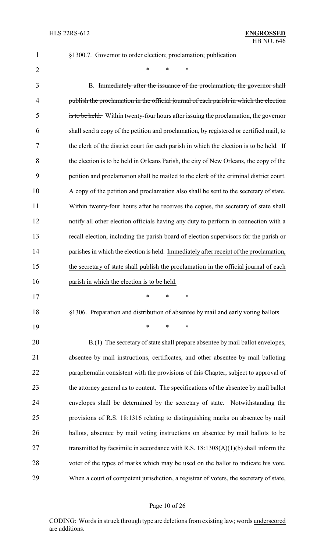§1300.7. Governor to order election; proclamation; publication

 $*$  \* \* \*

 B. Immediately after the issuance of the proclamation, the governor shall publish the proclamation in the official journal of each parish in which the election is to be held. Within twenty-four hours after issuing the proclamation, the governor shall send a copy of the petition and proclamation, by registered or certified mail, to the clerk of the district court for each parish in which the election is to be held. If the election is to be held in Orleans Parish, the city of New Orleans, the copy of the petition and proclamation shall be mailed to the clerk of the criminal district court. A copy of the petition and proclamation also shall be sent to the secretary of state. Within twenty-four hours after he receives the copies, the secretary of state shall notify all other election officials having any duty to perform in connection with a recall election, including the parish board of election supervisors for the parish or parishes in which the election is held. Immediately after receipt of the proclamation, the secretary of state shall publish the proclamation in the official journal of each parish in which the election is to be held. \* \* \* §1306. Preparation and distribution of absentee by mail and early voting ballots \* \* \* B.(1) The secretary of state shall prepare absentee by mail ballot envelopes, absentee by mail instructions, certificates, and other absentee by mail balloting

22 paraphernalia consistent with the provisions of this Chapter, subject to approval of 23 the attorney general as to content. The specifications of the absentee by mail ballot envelopes shall be determined by the secretary of state. Notwithstanding the provisions of R.S. 18:1316 relating to distinguishing marks on absentee by mail ballots, absentee by mail voting instructions on absentee by mail ballots to be 27 transmitted by facsimile in accordance with R.S. 18:1308(A)(1)(b) shall inform the voter of the types of marks which may be used on the ballot to indicate his vote. When a court of competent jurisdiction, a registrar of voters, the secretary of state,

#### Page 10 of 26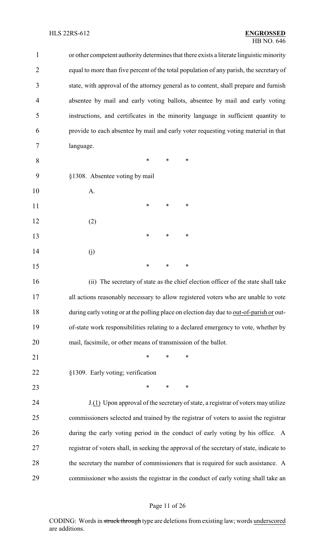### HLS 22RS-612 **ENGROSSED**

# HB NO. 646

| 1              | or other competent authority determines that there exists a literate linguistic minority  |
|----------------|-------------------------------------------------------------------------------------------|
| $\overline{2}$ | equal to more than five percent of the total population of any parish, the secretary of   |
| 3              | state, with approval of the attorney general as to content, shall prepare and furnish     |
| 4              | absentee by mail and early voting ballots, absentee by mail and early voting              |
| 5              | instructions, and certificates in the minority language in sufficient quantity to         |
| 6              | provide to each absentee by mail and early voter requesting voting material in that       |
| 7              | language.                                                                                 |
| 8              | *<br>*<br>∗                                                                               |
| 9              | §1308. Absentee voting by mail                                                            |
| 10             | A.                                                                                        |
| 11             | ∗<br>*<br>∗                                                                               |
| 12             | (2)                                                                                       |
| 13             | *<br>*<br>∗                                                                               |
| 14             | (j)                                                                                       |
| 15             | $\ast$<br>∗<br>∗                                                                          |
| 16             | (ii) The secretary of state as the chief election officer of the state shall take         |
| 17             | all actions reasonably necessary to allow registered voters who are unable to vote        |
| 18             | during early voting or at the polling place on election day due to out-of-parish or out-  |
| 19             | of-state work responsibilities relating to a declared emergency to vote, whether by       |
| 20             | mail, facsimile, or other means of transmission of the ballot.                            |
| 21             | *<br>∗<br>∗                                                                               |
| 22             | §1309. Early voting; verification                                                         |
| 23             | $\ast$<br>*<br>∗                                                                          |
| 24             | J.(1) Upon approval of the secretary of state, a registrar of voters may utilize          |
| 25             | commissioners selected and trained by the registrar of voters to assist the registrar     |
| 26             | during the early voting period in the conduct of early voting by his office. A            |
| 27             | registrar of voters shall, in seeking the approval of the secretary of state, indicate to |
| 28             | the secretary the number of commissioners that is required for such assistance. A         |
| 29             | commissioner who assists the registrar in the conduct of early voting shall take an       |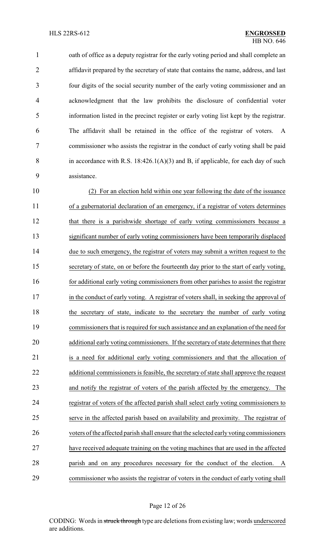1 oath of office as a deputy registrar for the early voting period and shall complete an 2 affidavit prepared by the secretary of state that contains the name, address, and last four digits of the social security number of the early voting commissioner and an acknowledgment that the law prohibits the disclosure of confidential voter information listed in the precinct register or early voting list kept by the registrar. The affidavit shall be retained in the office of the registrar of voters. A commissioner who assists the registrar in the conduct of early voting shall be paid 8 in accordance with R.S.  $18:426.1(A)(3)$  and B, if applicable, for each day of such assistance.

 (2) For an election held within one year following the date of the issuance of a gubernatorial declaration of an emergency, if a registrar of voters determines that there is a parishwide shortage of early voting commissioners because a significant number of early voting commissioners have been temporarily displaced due to such emergency, the registrar of voters may submit a written request to the secretary of state, on or before the fourteenth day prior to the start of early voting, 16 for additional early voting commissioners from other parishes to assist the registrar 17 in the conduct of early voting. A registrar of voters shall, in seeking the approval of 18 the secretary of state, indicate to the secretary the number of early voting commissioners that is required for such assistance and an explanation of the need for additional early voting commissioners. If the secretary of state determines that there is a need for additional early voting commissioners and that the allocation of additional commissioners is feasible, the secretary of state shall approve the request and notify the registrar of voters of the parish affected by the emergency. The registrar of voters of the affected parish shall select early voting commissioners to serve in the affected parish based on availability and proximity. The registrar of voters of the affected parish shall ensure that the selected earlyvoting commissioners have received adequate training on the voting machines that are used in the affected parish and on any procedures necessary for the conduct of the election. A commissioner who assists the registrar of voters in the conduct of early voting shall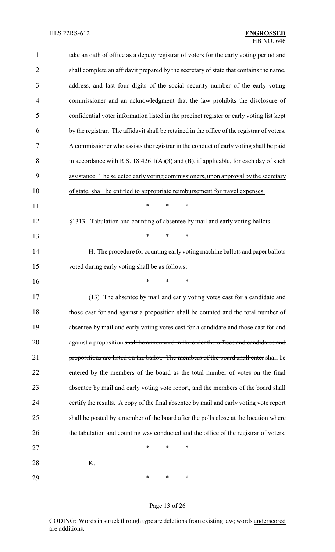| $\mathbf{1}$   | take an oath of office as a deputy registrar of voters for the early voting period and      |
|----------------|---------------------------------------------------------------------------------------------|
| $\overline{2}$ | shall complete an affidavit prepared by the secretary of state that contains the name,      |
| 3              | address, and last four digits of the social security number of the early voting             |
| $\overline{4}$ | commissioner and an acknowledgment that the law prohibits the disclosure of                 |
| 5              | confidential voter information listed in the precinct register or early voting list kept    |
| 6              | by the registrar. The affidavit shall be retained in the office of the registrar of voters. |
| 7              | A commissioner who assists the registrar in the conduct of early voting shall be paid       |
| 8              | in accordance with R.S. $18:426.1(A)(3)$ and (B), if applicable, for each day of such       |
| 9              | assistance. The selected early voting commissioners, upon approval by the secretary         |
| 10             | of state, shall be entitled to appropriate reimbursement for travel expenses.               |
| 11             | *<br>*<br>$\ast$                                                                            |
| 12             | §1313. Tabulation and counting of absentee by mail and early voting ballots                 |
| 13             | *<br>*<br>$\ast$                                                                            |
| 14             | H. The procedure for counting early voting machine ballots and paper ballots                |
| 15             | voted during early voting shall be as follows:                                              |
| 16             | *<br>*                                                                                      |
| 17             | (13) The absentee by mail and early voting votes cast for a candidate and                   |
| 18             | those cast for and against a proposition shall be counted and the total number of           |
| 19             | absentee by mail and early voting votes cast for a candidate and those cast for and         |
| 20             | against a proposition shall be announced in the order the offices and candidates and        |
| 21             | propositions are listed on the ballot. The members of the board shall enter shall be        |
| 22             | entered by the members of the board as the total number of votes on the final               |
| 23             | absentee by mail and early voting vote report, and the members of the board shall           |
| 24             | certify the results. A copy of the final absentee by mail and early voting vote report      |
| 25             | shall be posted by a member of the board after the polls close at the location where        |
| 26             | the tabulation and counting was conducted and the office of the registrar of voters.        |
| 27             | $\ast$<br>*<br>*                                                                            |
| 28             | K.                                                                                          |
| 29             | ∗<br>∗<br>∗                                                                                 |

## Page 13 of 26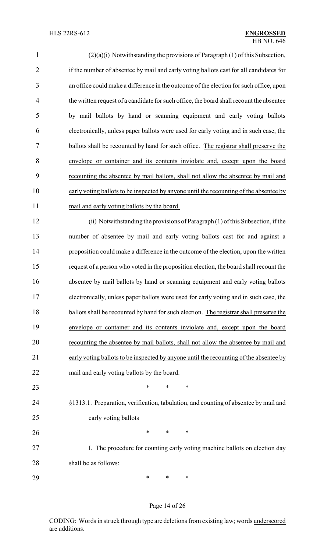| $\mathbf{1}$   | (2)(a)(i) Notwithstanding the provisions of Paragraph (1) of this Subsection,            |
|----------------|------------------------------------------------------------------------------------------|
| $\overline{2}$ | if the number of absentee by mail and early voting ballots cast for all candidates for   |
| 3              | an office could make a difference in the outcome of the election for such office, upon   |
| $\overline{4}$ | the written request of a candidate for such office, the board shall recount the absentee |
| 5              | by mail ballots by hand or scanning equipment and early voting ballots                   |
| 6              | electronically, unless paper ballots were used for early voting and in such case, the    |
| $\tau$         | ballots shall be recounted by hand for such office. The registrar shall preserve the     |
| 8              | envelope or container and its contents inviolate and, except upon the board              |
| 9              | recounting the absentee by mail ballots, shall not allow the absentee by mail and        |
| 10             | early voting ballots to be inspected by anyone until the recounting of the absentee by   |
| 11             | mail and early voting ballots by the board.                                              |
| 12             | (ii) Notwithstanding the provisions of Paragraph (1) of this Subsection, if the          |
| 13             | number of absentee by mail and early voting ballots cast for and against a               |
| 14             | proposition could make a difference in the outcome of the election, upon the written     |
| 15             | request of a person who voted in the proposition election, the board shall recount the   |
| 16             | absentee by mail ballots by hand or scanning equipment and early voting ballots          |
| 17             | electronically, unless paper ballots were used for early voting and in such case, the    |
| 18             | ballots shall be recounted by hand for such election. The registrar shall preserve the   |
| 19             | envelope or container and its contents inviolate and, except upon the board              |
| 20             | recounting the absentee by mail ballots, shall not allow the absentee by mail and        |
| 21             | early voting ballots to be inspected by anyone until the recounting of the absentee by   |
| 22             | mail and early voting ballots by the board.                                              |
| 23             | ∗<br>*<br>∗                                                                              |
| 24             | §1313.1. Preparation, verification, tabulation, and counting of absentee by mail and     |
| 25             | early voting ballots                                                                     |
| 26             | ∗<br>∗<br>∗                                                                              |
| 27             | I. The procedure for counting early voting machine ballots on election day               |
| 28             | shall be as follows:                                                                     |
| 29             | ∗<br>∗<br>∗                                                                              |

## Page 14 of 26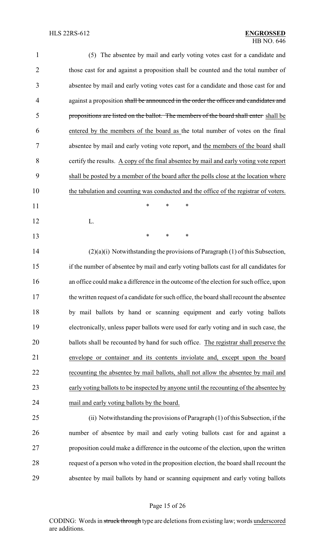| $\mathbf{1}$   | (5) The absentee by mail and early voting votes cast for a candidate and                 |
|----------------|------------------------------------------------------------------------------------------|
| $\overline{2}$ | those cast for and against a proposition shall be counted and the total number of        |
| 3              | absentee by mail and early voting votes cast for a candidate and those cast for and      |
| $\overline{4}$ | against a proposition shall be announced in the order the offices and candidates and     |
| 5              | propositions are listed on the ballot. The members of the board shall enter-shall be     |
| 6              | entered by the members of the board as the total number of votes on the final            |
| 7              | absentee by mail and early voting vote report, and the members of the board shall        |
| 8              | certify the results. A copy of the final absentee by mail and early voting vote report   |
| 9              | shall be posted by a member of the board after the polls close at the location where     |
| 10             | the tabulation and counting was conducted and the office of the registrar of voters.     |
| 11             | $\ast$<br>$\ast$<br>$\ast$                                                               |
| 12             | L.                                                                                       |
| 13             | *<br>*<br>*                                                                              |
| 14             | $(2)(a)(i)$ Notwithstanding the provisions of Paragraph $(1)$ of this Subsection,        |
| 15             | if the number of absentee by mail and early voting ballots cast for all candidates for   |
| 16             | an office could make a difference in the outcome of the election for such office, upon   |
| 17             | the written request of a candidate for such office, the board shall recount the absentee |
| 18             | by mail ballots by hand or scanning equipment and early voting ballots                   |
| 19             | electronically, unless paper ballots were used for early voting and in such case, the    |
| 20             | ballots shall be recounted by hand for such office. The registrar shall preserve the     |
| 21             | envelope or container and its contents inviolate and, except upon the board              |
| 22             | recounting the absentee by mail ballots, shall not allow the absentee by mail and        |
| 23             | early voting ballots to be inspected by anyone until the recounting of the absentee by   |
| 24             | mail and early voting ballots by the board.                                              |
| 25             | (ii) Notwithstanding the provisions of Paragraph (1) of this Subsection, if the          |
| 26             | number of absentee by mail and early voting ballots cast for and against a               |
| 27             | proposition could make a difference in the outcome of the election, upon the written     |
| 28             | request of a person who voted in the proposition election, the board shall recount the   |
| 29             | absentee by mail ballots by hand or scanning equipment and early voting ballots          |
|                |                                                                                          |

## Page 15 of 26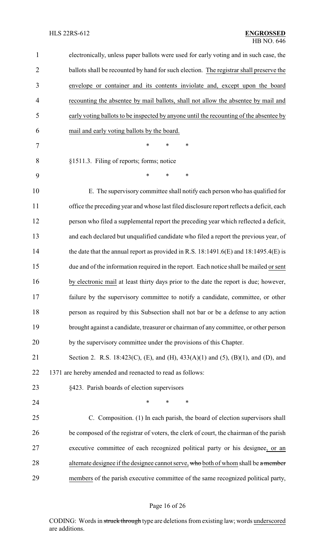| $\mathbf{1}$   | electronically, unless paper ballots were used for early voting and in such case, the     |  |  |
|----------------|-------------------------------------------------------------------------------------------|--|--|
| $\overline{2}$ | ballots shall be recounted by hand for such election. The registrar shall preserve the    |  |  |
| 3              | envelope or container and its contents inviolate and, except upon the board               |  |  |
| 4              | recounting the absentee by mail ballots, shall not allow the absentee by mail and         |  |  |
| 5              | early voting ballots to be inspected by anyone until the recounting of the absentee by    |  |  |
| 6              | mail and early voting ballots by the board.                                               |  |  |
| 7              | $\ast$<br>*<br>*                                                                          |  |  |
| 8              | §1511.3. Filing of reports; forms; notice                                                 |  |  |
| 9              | $\ast$<br>*<br>$\ast$                                                                     |  |  |
| 10             | E. The supervisory committee shall notify each person who has qualified for               |  |  |
| 11             | office the preceding year and whose last filed disclosure report reflects a deficit, each |  |  |
| 12             | person who filed a supplemental report the preceding year which reflected a deficit,      |  |  |
| 13             | and each declared but unqualified candidate who filed a report the previous year, of      |  |  |
| 14             | the date that the annual report as provided in R.S. 18:1491.6(E) and $18:1495.4(E)$ is    |  |  |
| 15             | due and of the information required in the report. Each notice shall be mailed or sent    |  |  |
| 16             | by electronic mail at least thirty days prior to the date the report is due; however,     |  |  |
| 17             | failure by the supervisory committee to notify a candidate, committee, or other           |  |  |
| 18             | person as required by this Subsection shall not bar or be a defense to any action         |  |  |
| 19             | brought against a candidate, treasurer or chairman of any committee, or other person      |  |  |
| 20             | by the supervisory committee under the provisions of this Chapter.                        |  |  |
| 21             | Section 2. R.S. 18:423(C), (E), and (H), 433(A)(1) and (5), (B)(1), and (D), and          |  |  |
| 22             | 1371 are hereby amended and reenacted to read as follows:                                 |  |  |
| 23             | §423. Parish boards of election supervisors                                               |  |  |
| 24             | $\ast$<br>∗<br>*                                                                          |  |  |
| 25             | C. Composition. (1) In each parish, the board of election supervisors shall               |  |  |
| 26             | be composed of the registrar of voters, the clerk of court, the chairman of the parish    |  |  |
| 27             | executive committee of each recognized political party or his designee, or an             |  |  |
| 28             | alternate designee if the designee cannot serve, who both of whom shall be a member       |  |  |
| 29             | members of the parish executive committee of the same recognized political party,         |  |  |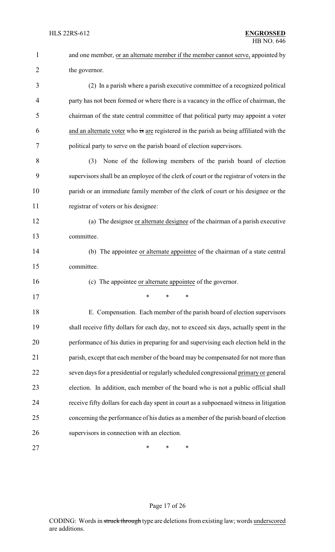| $\mathbf{1}$   | and one member, or an alternate member if the member cannot serve, appointed by          |  |  |
|----------------|------------------------------------------------------------------------------------------|--|--|
| $\overline{2}$ | the governor.                                                                            |  |  |
| 3              | (2) In a parish where a parish executive committee of a recognized political             |  |  |
| $\overline{4}$ | party has not been formed or where there is a vacancy in the office of chairman, the     |  |  |
| 5              | chairman of the state central committee of that political party may appoint a voter      |  |  |
| 6              | and an alternate voter who is are registered in the parish as being affiliated with the  |  |  |
| 7              | political party to serve on the parish board of election supervisors.                    |  |  |
| 8              | None of the following members of the parish board of election<br>(3)                     |  |  |
| 9              | supervisors shall be an employee of the clerk of court or the registrar of voters in the |  |  |
| 10             | parish or an immediate family member of the clerk of court or his designee or the        |  |  |
| 11             | registrar of voters or his designee:                                                     |  |  |
| 12             | (a) The designee or alternate designee of the chairman of a parish executive             |  |  |
| 13             | committee.                                                                               |  |  |
| 14             | (b) The appointee or alternate appointee of the chairman of a state central              |  |  |
| 15             | committee.                                                                               |  |  |
| 16             | (c) The appointee or alternate appointee of the governor.                                |  |  |
| 17             | ∗<br>∗<br>∗                                                                              |  |  |
| 18             | E. Compensation. Each member of the parish board of election supervisors                 |  |  |
| 19             | shall receive fifty dollars for each day, not to exceed six days, actually spent in the  |  |  |
| 20             | performance of his duties in preparing for and supervising each election held in the     |  |  |
| 21             | parish, except that each member of the board may be compensated for not more than        |  |  |
| 22             | seven days for a presidential or regularly scheduled congressional primary or general    |  |  |
| 23             | election. In addition, each member of the board who is not a public official shall       |  |  |
| 24             | receive fifty dollars for each day spent in court as a subpoenaed witness in litigation  |  |  |
| 25             | concerning the performance of his duties as a member of the parish board of election     |  |  |
| 26             | supervisors in connection with an election.                                              |  |  |
| 27             | ∗<br>∗<br>∗                                                                              |  |  |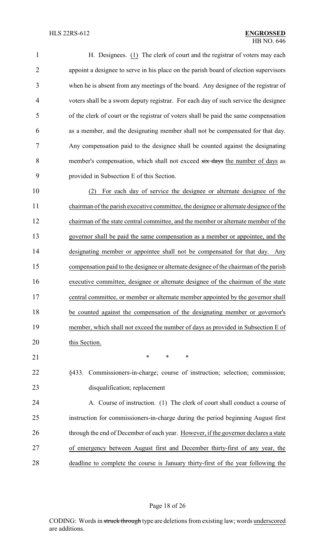| $\mathbf{1}$   | H. Designees. (1) The clerk of court and the registrar of voters may each             |
|----------------|---------------------------------------------------------------------------------------|
| $\overline{2}$ | appoint a designee to serve in his place on the parish board of election supervisors  |
| 3              | when he is absent from any meetings of the board. Any designee of the registrar of    |
| 4              | voters shall be a sworn deputy registrar. For each day of such service the designee   |
| 5              | of the clerk of court or the registrar of voters shall be paid the same compensation  |
| 6              | as a member, and the designating member shall not be compensated for that day.        |
| 7              | Any compensation paid to the designee shall be counted against the designating        |
| 8              | member's compensation, which shall not exceed six days the number of days as          |
| 9              | provided in Subsection E of this Section.                                             |
| 10             | For each day of service the designee or alternate designee of the                     |
| 11             | chairman of the parish executive committee, the designee or alternate designee of the |
| 12             | chairman of the state central committee, and the member or alternate member of the    |

 governor shall be paid the same compensation as a member or appointee, and the designating member or appointee shall not be compensated for that day. Any compensation paid to the designee or alternate designee of the chairman of the parish executive committee, designee or alternate designee of the chairman of the state central committee, or member or alternate member appointed by the governor shall be counted against the compensation of the designating member or governor's member, which shall not exceed the number of days as provided in Subsection E of 20 this Section.

21 \* \* \* \*

 §433. Commissioners-in-charge; course of instruction; selection; commission; disqualification; replacement

 A. Course of instruction. (1) The clerk of court shall conduct a course of instruction for commissioners-in-charge during the period beginning August first 26 through the end of December of each year. However, if the governor declares a state of emergency between August first and December thirty-first of any year, the deadline to complete the course is January thirty-first of the year following the

Page 18 of 26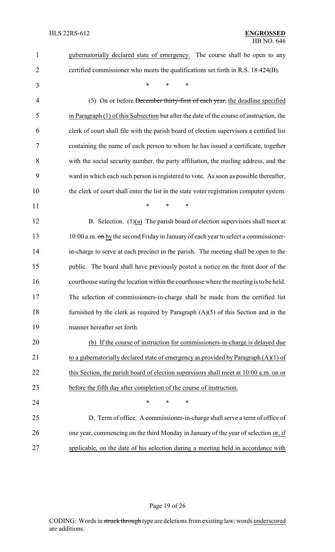| $\mathbf{1}$   | gubernatorially declared state of emergency. The course shall be open to any             |  |
|----------------|------------------------------------------------------------------------------------------|--|
| $\overline{2}$ | certified commissioner who meets the qualifications set forth in R.S. 18:424(B).         |  |
| 3              | *<br>$\ast$<br>*                                                                         |  |
| 4              | (5) On or before December thirty-first of each year, the deadline specified              |  |
| 5              | in Paragraph (1) of this Subsection but after the date of the course of instruction, the |  |
| 6              | clerk of court shall file with the parish board of election supervisors a certified list |  |
| 7              | containing the name of each person to whom he has issued a certificate, together         |  |
| 8              | with the social security number, the party affiliation, the mailing address, and the     |  |
| 9              | ward in which each such person is registered to vote. As soon as possible thereafter,    |  |
| 10             | the clerk of court shall enter the list in the state voter registration computer system. |  |
| 11             | *<br>*<br>*                                                                              |  |
| 12             | B. Selection. $(1)(a)$ The parish board of election supervisors shall meet at            |  |
| 13             | 10:00 a.m. on by the second Friday in January of each year to select a commissioner-     |  |
| 14             | in-charge to serve at each precinct in the parish. The meeting shall be open to the      |  |
| 15             | public. The board shall have previously posted a notice on the front door of the         |  |
| 16             | courthouse stating the location within the courthouse where the meeting is to be held.   |  |
| 17             | The selection of commissioners-in-charge shall be made from the certified list           |  |
| 18             | furnished by the clerk as required by Paragraph $(A)(5)$ of this Section and in the      |  |
| 19             | manner hereafter set forth.                                                              |  |
| 20             | (b) If the course of instruction for commissioners-in-charge is delayed due              |  |
| 21             | to a gubernatorially declared state of emergency as provided by Paragraph $(A)(1)$ of    |  |
| 22             | this Section, the parish board of election supervisors shall meet at 10:00 a.m. on or    |  |
| 23             | before the fifth day after completion of the course of instruction.                      |  |
| 24             | ∗<br>∗<br>*                                                                              |  |
| 25             | D. Term of office. A commissioner-in-charge shall serve a term of office of              |  |
| 26             | one year, commencing on the third Monday in January of the year of selection or, if      |  |
| 27             | applicable, on the date of his selection during a meeting held in accordance with        |  |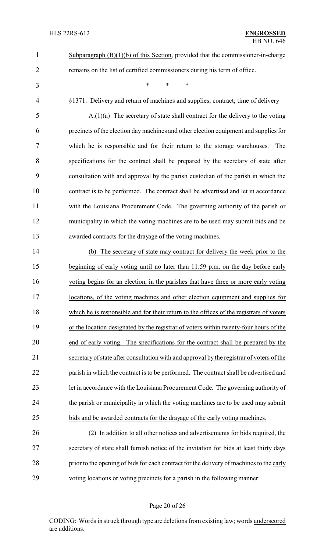- remains on the list of certified commissioners during his term of office.
- 

\* \* \*

Subparagraph (B)(1)(b) of this Section, provided that the commissioner-in-charge

§1371. Delivery and return of machines and supplies; contract; time of delivery

 A.(1)(a) The secretary of state shall contract for the delivery to the voting precincts of the election day machines and other election equipment and supplies for which he is responsible and for their return to the storage warehouses. The specifications for the contract shall be prepared by the secretary of state after consultation with and approval by the parish custodian of the parish in which the contract is to be performed. The contract shall be advertised and let in accordance with the Louisiana Procurement Code. The governing authority of the parish or municipality in which the voting machines are to be used may submit bids and be awarded contracts for the drayage of the voting machines.

 (b) The secretary of state may contract for delivery the week prior to the beginning of early voting until no later than 11:59 p.m. on the day before early voting begins for an election, in the parishes that have three or more early voting locations, of the voting machines and other election equipment and supplies for which he is responsible and for their return to the offices of the registrars of voters or the location designated by the registrar of voters within twenty-four hours of the end of early voting. The specifications for the contract shall be prepared by the secretary of state after consultation with and approval by the registrar of voters of the 22 parish in which the contract is to be performed. The contract shall be advertised and let in accordance with the Louisiana Procurement Code. The governing authority of the parish or municipality in which the voting machines are to be used may submit bids and be awarded contracts for the drayage of the early voting machines.

 (2) In addition to all other notices and advertisements for bids required, the secretary of state shall furnish notice of the invitation for bids at least thirty days 28 prior to the opening of bids for each contract for the delivery of machines to the early voting locations or voting precincts for a parish in the following manner:

### Page 20 of 26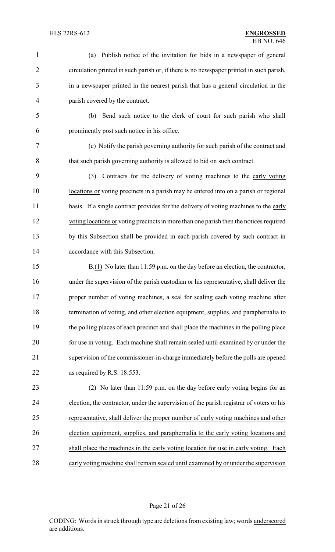- (a) Publish notice of the invitation for bids in a newspaper of general circulation printed in such parish or, if there is no newspaper printed in such parish, in a newspaper printed in the nearest parish that has a general circulation in the parish covered by the contract. (b) Send such notice to the clerk of court for such parish who shall
- 

prominently post such notice in his office.

 (c) Notify the parish governing authority for such parish of the contract and that such parish governing authority is allowed to bid on such contract.

 (3) Contracts for the delivery of voting machines to the early voting locations or voting precincts in a parish may be entered into on a parish or regional 11 basis. If a single contract provides for the delivery of voting machines to the early voting locations or voting precincts in more than one parish then the notices required by this Subsection shall be provided in each parish covered by such contract in accordance with this Subsection.

 B.(1) No later than 11:59 p.m. on the day before an election, the contractor, under the supervision of the parish custodian or his representative, shall deliver the proper number of voting machines, a seal for sealing each voting machine after termination of voting, and other election equipment, supplies, and paraphernalia to the polling places of each precinct and shall place the machines in the polling place for use in voting. Each machine shall remain sealed until examined by or under the supervision of the commissioner-in-charge immediately before the polls are opened as required by R.S. 18:553.

 (2) No later than 11:59 p.m. on the day before early voting begins for an election, the contractor, under the supervision of the parish registrar of voters or his representative, shall deliver the proper number of early voting machines and other election equipment, supplies, and paraphernalia to the early voting locations and 27 shall place the machines in the early voting location for use in early voting. Each early voting machine shall remain sealed until examined by or under the supervision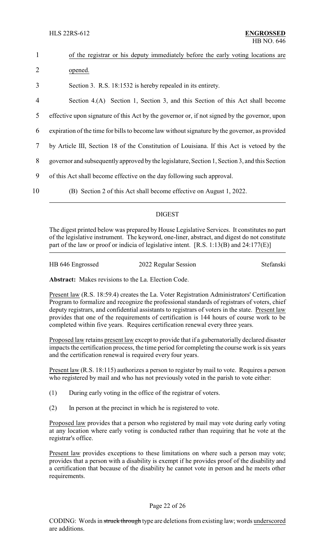| $\mathbf{1}$   | of the registrar or his deputy immediately before the early voting locations are              |
|----------------|-----------------------------------------------------------------------------------------------|
| 2              | opened.                                                                                       |
| 3              | Section 3. R.S. 18:1532 is hereby repealed in its entirety.                                   |
| $\overline{4}$ | Section 4.(A) Section 1, Section 3, and this Section of this Act shall become                 |
| 5              | effective upon signature of this Act by the governor or, if not signed by the governor, upon  |
| 6              | expiration of the time for bills to become law without signature by the governor, as provided |
| 7              | by Article III, Section 18 of the Constitution of Louisiana. If this Act is vetoed by the     |
| 8              | governor and subsequently approved by the legislature, Section 1, Section 3, and this Section |
| 9              | of this Act shall become effective on the day following such approval.                        |
| 10             | (B) Section 2 of this Act shall become effective on August 1, 2022.                           |

### DIGEST

The digest printed below was prepared by House Legislative Services. It constitutes no part of the legislative instrument. The keyword, one-liner, abstract, and digest do not constitute part of the law or proof or indicia of legislative intent. [R.S. 1:13(B) and 24:177(E)]

| HB 646 Engrossed | 2022 Regular Session | Stefanski |
|------------------|----------------------|-----------|
|                  |                      |           |

**Abstract:** Makes revisions to the La. Election Code.

Present law (R.S. 18:59.4) creates the La. Voter Registration Administrators' Certification Program to formalize and recognize the professional standards of registrars of voters, chief deputy registrars, and confidential assistants to registrars of voters in the state. Present law provides that one of the requirements of certification is 144 hours of course work to be completed within five years. Requires certification renewal every three years.

Proposed law retains present law except to provide that if a gubernatorially declared disaster impacts the certification process, the time period for completing the course work is six years and the certification renewal is required every four years.

Present law (R.S. 18:115) authorizes a person to register by mail to vote. Requires a person who registered by mail and who has not previously voted in the parish to vote either:

- (1) During early voting in the office of the registrar of voters.
- (2) In person at the precinct in which he is registered to vote.

Proposed law provides that a person who registered by mail may vote during early voting at any location where early voting is conducted rather than requiring that he vote at the registrar's office.

Present law provides exceptions to these limitations on where such a person may vote; provides that a person with a disability is exempt if he provides proof of the disability and a certification that because of the disability he cannot vote in person and he meets other requirements.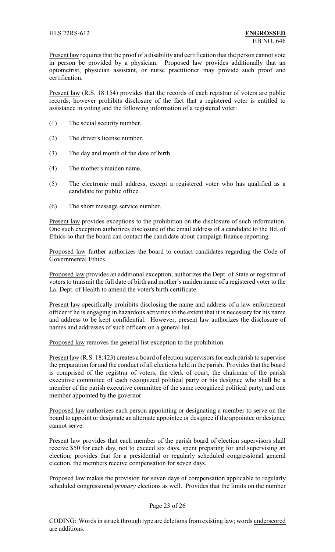Present law requires that the proof of a disability and certification that the person cannot vote in person be provided by a physician. Proposed law provides additionally that an optometrist, physician assistant, or nurse practitioner may provide such proof and certification.

Present law (R.S. 18:154) provides that the records of each registrar of voters are public records; however prohibits disclosure of the fact that a registered voter is entitled to assistance in voting and the following information of a registered voter:

- (1) The social security number.
- (2) The driver's license number.
- (3) The day and month of the date of birth.
- (4) The mother's maiden name.
- (5) The electronic mail address, except a registered voter who has qualified as a candidate for public office.
- (6) The short message service number.

Present law provides exceptions to the prohibition on the disclosure of such information. One such exception authorizes disclosure of the email address of a candidate to the Bd. of Ethics so that the board can contact the candidate about campaign finance reporting.

Proposed law further authorizes the board to contact candidates regarding the Code of Governmental Ethics.

Proposed law provides an additional exception; authorizes the Dept. of State or registrar of voters to transmit the full date of birth and mother's maiden name of a registered voter to the La. Dept. of Health to amend the voter's birth certificate.

Present law specifically prohibits disclosing the name and address of a law enforcement officer if he is engaging in hazardous activities to the extent that it is necessary for his name and address to be kept confidential. However, present law authorizes the disclosure of names and addresses of such officers on a general list.

Proposed law removes the general list exception to the prohibition.

Present law (R.S. 18:423) creates a board of election supervisors for each parish to supervise the preparation for and the conduct of all elections held in the parish. Provides that the board is comprised of the registrar of voters, the clerk of court, the chairman of the parish executive committee of each recognized political party or his designee who shall be a member of the parish executive committee of the same recognized political party, and one member appointed by the governor.

Proposed law authorizes each person appointing or designating a member to serve on the board to appoint or designate an alternate appointee or designee if the appointee or designee cannot serve.

Present law provides that each member of the parish board of election supervisors shall receive \$50 for each day, not to exceed six days, spent preparing for and supervising an election; provides that for a presidential or regularly scheduled congressional general election, the members receive compensation for seven days.

Proposed law makes the provision for seven days of compensation applicable to regularly scheduled congressional *primary* elections as well. Provides that the limits on the number

### Page 23 of 26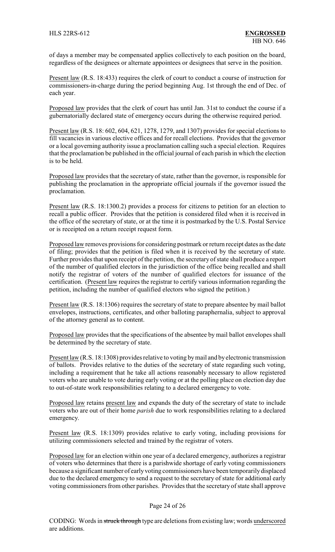of days a member may be compensated applies collectively to each position on the board, regardless of the designees or alternate appointees or designees that serve in the position.

Present law (R.S. 18:433) requires the clerk of court to conduct a course of instruction for commissioners-in-charge during the period beginning Aug. 1st through the end of Dec. of each year.

Proposed law provides that the clerk of court has until Jan. 31st to conduct the course if a gubernatorially declared state of emergency occurs during the otherwise required period.

Present law (R.S. 18: 602, 604, 621, 1278, 1279, and 1307) provides for special elections to fill vacancies in various elective offices and for recall elections. Provides that the governor or a local governing authority issue a proclamation calling such a special election. Requires that the proclamation be published in the official journal of each parish in which the election is to be held.

Proposed law provides that the secretary of state, rather than the governor, is responsible for publishing the proclamation in the appropriate official journals if the governor issued the proclamation.

Present law (R.S. 18:1300.2) provides a process for citizens to petition for an election to recall a public officer. Provides that the petition is considered filed when it is received in the office of the secretary of state, or at the time it is postmarked by the U.S. Postal Service or is receipted on a return receipt request form.

Proposed law removes provisions for considering postmark or return receipt dates as the date of filing; provides that the petition is filed when it is received by the secretary of state. Further provides that upon receipt of the petition, the secretary of state shall produce a report of the number of qualified electors in the jurisdiction of the office being recalled and shall notify the registrar of voters of the number of qualified electors for issuance of the certification. (Present law requires the registrar to certify various information regarding the petition, including the number of qualified electors who signed the petition.)

Present law (R.S. 18:1306) requires the secretary of state to prepare absentee by mail ballot envelopes, instructions, certificates, and other balloting paraphernalia, subject to approval of the attorney general as to content.

Proposed law provides that the specifications of the absentee by mail ballot envelopes shall be determined by the secretary of state.

Present law (R.S. 18:1308) provides relative to voting by mail and by electronic transmission of ballots. Provides relative to the duties of the secretary of state regarding such voting, including a requirement that he take all actions reasonably necessary to allow registered voters who are unable to vote during early voting or at the polling place on election day due to out-of-state work responsibilities relating to a declared emergency to vote.

Proposed law retains present law and expands the duty of the secretary of state to include voters who are out of their home *parish* due to work responsibilities relating to a declared emergency.

Present law (R.S. 18:1309) provides relative to early voting, including provisions for utilizing commissioners selected and trained by the registrar of voters.

Proposed law for an election within one year of a declared emergency, authorizes a registrar of voters who determines that there is a parishwide shortage of early voting commissioners because a significant number of earlyvoting commissioners have been temporarilydisplaced due to the declared emergency to send a request to the secretary of state for additional early voting commissioners from other parishes. Provides that the secretary of state shall approve

#### Page 24 of 26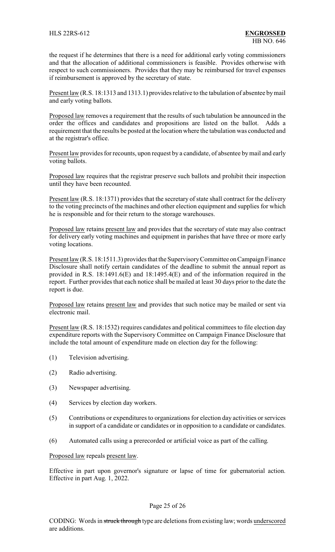the request if he determines that there is a need for additional early voting commissioners and that the allocation of additional commissioners is feasible. Provides otherwise with respect to such commissioners. Provides that they may be reimbursed for travel expenses if reimbursement is approved by the secretary of state.

Present law (R.S. 18:1313 and 1313.1) provides relative to the tabulation of absentee by mail and early voting ballots.

Proposed law removes a requirement that the results of such tabulation be announced in the order the offices and candidates and propositions are listed on the ballot. Adds a requirement that the results be posted at the location where the tabulation was conducted and at the registrar's office.

Present law provides for recounts, upon request by a candidate, of absentee by mail and early voting ballots.

Proposed law requires that the registrar preserve such ballots and prohibit their inspection until they have been recounted.

Present law (R.S. 18:1371) provides that the secretary of state shall contract for the delivery to the voting precincts of the machines and other election equipment and supplies for which he is responsible and for their return to the storage warehouses.

Proposed law retains present law and provides that the secretary of state may also contract for delivery early voting machines and equipment in parishes that have three or more early voting locations.

Present law (R.S. 18:1511.3) provides that the Supervisory Committee on Campaign Finance Disclosure shall notify certain candidates of the deadline to submit the annual report as provided in R.S. 18:1491.6(E) and 18:1495.4(E) and of the information required in the report. Further provides that each notice shall be mailed at least 30 days prior to the date the report is due.

Proposed law retains present law and provides that such notice may be mailed or sent via electronic mail.

Present law (R.S. 18:1532) requires candidates and political committees to file election day expenditure reports with the Supervisory Committee on Campaign Finance Disclosure that include the total amount of expenditure made on election day for the following:

- (1) Television advertising.
- (2) Radio advertising.
- (3) Newspaper advertising.
- (4) Services by election day workers.
- (5) Contributions or expenditures to organizations for election day activities or services in support of a candidate or candidates or in opposition to a candidate or candidates.
- (6) Automated calls using a prerecorded or artificial voice as part of the calling.

Proposed law repeals present law.

Effective in part upon governor's signature or lapse of time for gubernatorial action. Effective in part Aug. 1, 2022.